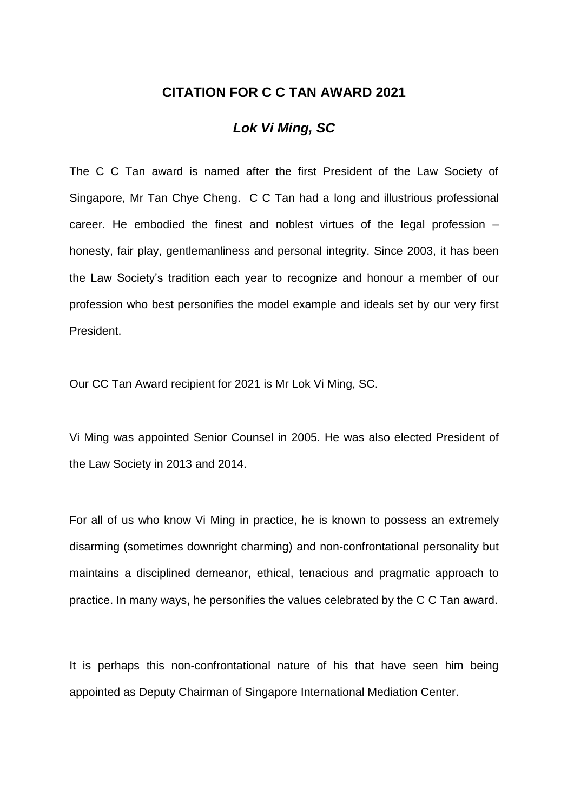## **CITATION FOR C C TAN AWARD 2021**

## *Lok Vi Ming, SC*

The C C Tan award is named after the first President of the Law Society of Singapore, Mr Tan Chye Cheng. C C Tan had a long and illustrious professional career. He embodied the finest and noblest virtues of the legal profession – honesty, fair play, gentlemanliness and personal integrity. Since 2003, it has been the Law Society's tradition each year to recognize and honour a member of our profession who best personifies the model example and ideals set by our very first President.

Our CC Tan Award recipient for 2021 is Mr Lok Vi Ming, SC.

Vi Ming was appointed Senior Counsel in 2005. He was also elected President of the Law Society in 2013 and 2014.

For all of us who know Vi Ming in practice, he is known to possess an extremely disarming (sometimes downright charming) and non-confrontational personality but maintains a disciplined demeanor, ethical, tenacious and pragmatic approach to practice. In many ways, he personifies the values celebrated by the C C Tan award.

It is perhaps this non-confrontational nature of his that have seen him being appointed as Deputy Chairman of Singapore International Mediation Center.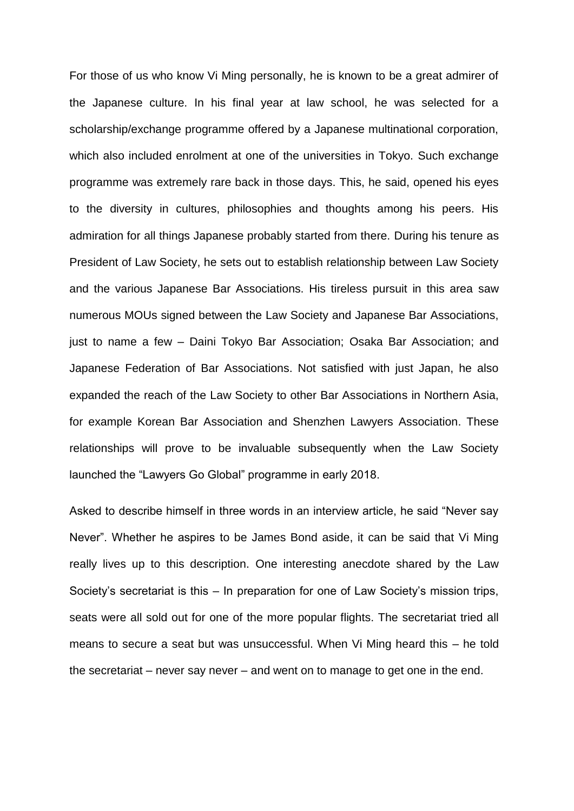For those of us who know Vi Ming personally, he is known to be a great admirer of the Japanese culture. In his final year at law school, he was selected for a scholarship/exchange programme offered by a Japanese multinational corporation, which also included enrolment at one of the universities in Tokyo. Such exchange programme was extremely rare back in those days. This, he said, opened his eyes to the diversity in cultures, philosophies and thoughts among his peers. His admiration for all things Japanese probably started from there. During his tenure as President of Law Society, he sets out to establish relationship between Law Society and the various Japanese Bar Associations. His tireless pursuit in this area saw numerous MOUs signed between the Law Society and Japanese Bar Associations, just to name a few – Daini Tokyo Bar Association; Osaka Bar Association; and Japanese Federation of Bar Associations. Not satisfied with just Japan, he also expanded the reach of the Law Society to other Bar Associations in Northern Asia, for example Korean Bar Association and Shenzhen Lawyers Association. These relationships will prove to be invaluable subsequently when the Law Society launched the "Lawyers Go Global" programme in early 2018.

Asked to describe himself in three words in an interview article, he said "Never say Never". Whether he aspires to be James Bond aside, it can be said that Vi Ming really lives up to this description. One interesting anecdote shared by the Law Society's secretariat is this – In preparation for one of Law Society's mission trips, seats were all sold out for one of the more popular flights. The secretariat tried all means to secure a seat but was unsuccessful. When Vi Ming heard this – he told the secretariat – never say never – and went on to manage to get one in the end.